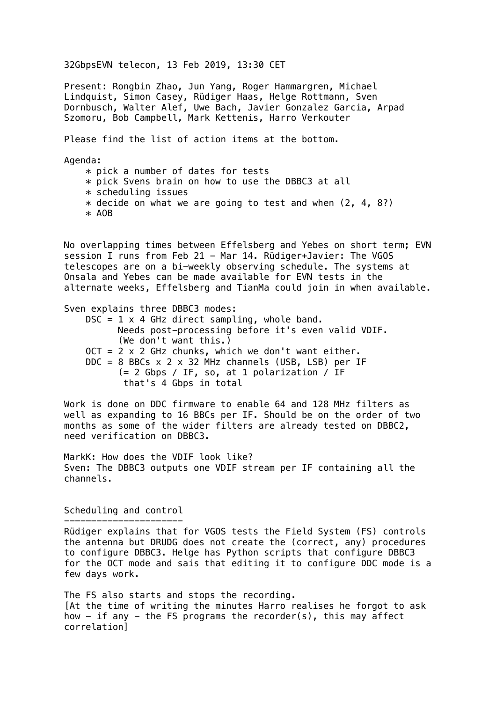32GbpsEVN telecon, 13 Feb 2019, 13:30 CET

Present: Rongbin Zhao, Jun Yang, Roger Hammargren, Michael Lindquist, Simon Casey, Rüdiger Haas, Helge Rottmann, Sven Dornbusch, Walter Alef, Uwe Bach, Javier Gonzalez Garcia, Arpad Szomoru, Bob Campbell, Mark Kettenis, Harro Verkouter

Please find the list of action items at the bottom.

Agenda:

 $*$  pick a number of dates for tests

\* pick Svens brain on how to use the DBBC3 at all

- \* scheduling issues
- $*$  decide on what we are going to test and when  $(2, 4, 8?)$
- \* AOB

No overlapping times between Effelsberg and Yebes on short term; EVN session I runs from Feb 21 - Mar 14. Rüdiger+Javier: The VGOS telescopes are on a bi-weekly observing schedule. The systems at Onsala and Yebes can be made available for EVN tests in the alternate weeks, Effelsberg and TianMa could join in when available.

Sven explains three DBBC3 modes:  $DSC = 1 \times 4$  GHz direct sampling, whole band. Needs post-processing before it's even valid VDIF. (We don't want this.)  $OCT = 2 \times 2$  GHz chunks, which we don't want either. DDC = 8 BBCs  $\times$  2  $\times$  32 MHz channels (USB, LSB) per IF (= 2 Gbps / IF, so, at 1 polarization / IF that's 4 Gbps in total

Work is done on DDC firmware to enable 64 and 128 MHz filters as well as expanding to 16 BBCs per IF. Should be on the order of two months as some of the wider filters are already tested on DBBC2, need verification on DBBC3.

MarkK: How does the VDIF look like? Sven: The DBBC3 outputs one VDIF stream per IF containing all the channels.

Scheduling and control

---------------------- Rüdiger explains that for VGOS tests the Field System (FS) controls the antenna but DRUDG does not create the (correct, any) procedures to configure DBBC3. Helge has Python scripts that configure DBBC3 for the OCT mode and sais that editing it to configure DDC mode is a few days work.

The FS also starts and stops the recording. [At the time of writing the minutes Harro realises he forgot to ask how  $-$  if any  $-$  the FS programs the recorder(s), this may affect correlation]